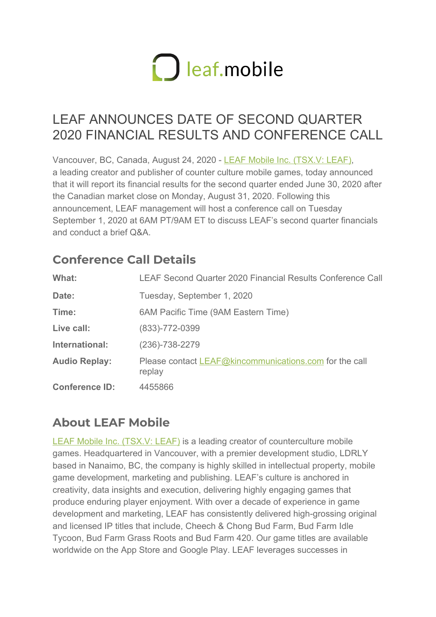

## LEAF ANNOUNCES DATE OF SECOND QUARTER 2020 FINANCIAL RESULTS AND CONFERENCE CALL

Vancouver, BC, Canada, August 24, 2020 - [LEAF Mobile Inc. \(TSX.V: LEAF\),](http://www.leafmobile.io/) a leading creator and publisher of counter culture mobile games, today announced that it will report its financial results for the second quarter ended June 30, 2020 after the Canadian market close on Monday, August 31, 2020. Following this announcement, LEAF management will host a conference call on Tuesday September 1, 2020 at 6AM PT/9AM ET to discuss LEAF's second quarter financials and conduct a brief Q&A

## **Conference Call Details**

| What:                 | LEAF Second Quarter 2020 Financial Results Conference Call       |
|-----------------------|------------------------------------------------------------------|
| Date:                 | Tuesday, September 1, 2020                                       |
| Time:                 | 6AM Pacific Time (9AM Eastern Time)                              |
| Live call:            | $(833) - 772 - 0399$                                             |
| International:        | $(236) - 738 - 2279$                                             |
| <b>Audio Replay:</b>  | Please contact LEAF@kincommunications.com for the call<br>replay |
| <b>Conference ID:</b> | 4455866                                                          |

## **About LEAF Mobile**

[LEAF Mobile Inc. \(TSX.V: LEAF\)](http://www.leafmobile.io/) is a leading creator of counterculture mobile games. Headquartered in Vancouver, with a premier development studio, LDRLY based in Nanaimo, BC, the company is highly skilled in intellectual property, mobile game development, marketing and publishing. LEAF's culture is anchored in creativity, data insights and execution, delivering highly engaging games that produce enduring player enjoyment. With over a decade of experience in game development and marketing, LEAF has consistently delivered high-grossing original and licensed IP titles that include, Cheech & Chong Bud Farm, Bud Farm Idle Tycoon, Bud Farm Grass Roots and Bud Farm 420. Our game titles are available worldwide on the App Store and Google Play. LEAF leverages successes in